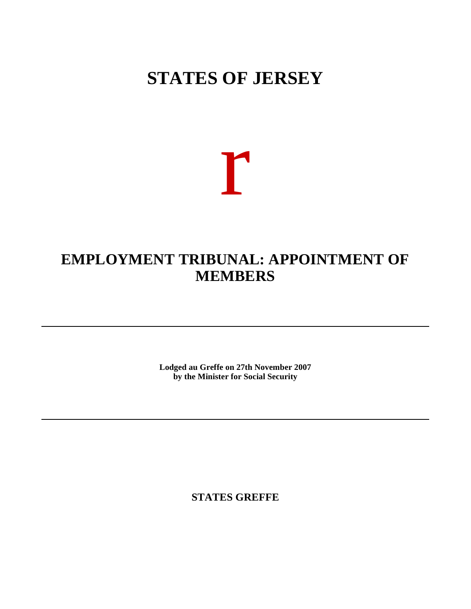# **STATES OF JERSEY**

# r

## **EMPLOYMENT TRIBUNAL: APPOINTMENT OF MEMBERS**

**Lodged au Greffe on 27th November 2007 by the Minister for Social Security**

**STATES GREFFE**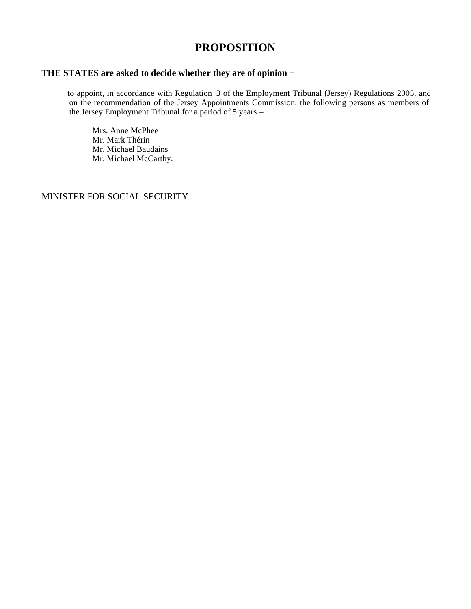## **PROPOSITION**

### **THE STATES are asked to decide whether they are of opinion**

to appoint, in accordance with Regulation 3 of the Employment Tribunal (Jersey) Regulations 2005, and on the recommendation of the Jersey Appointments Commission, the following persons as members of the Jersey Employment Tribunal for a period of  $5$  years –

 Mrs. Anne McPhee Mr. Mark Thérin Mr. Michael Baudains Mr. Michael McCarthy.

MINISTER FOR SOCIAL SECURITY